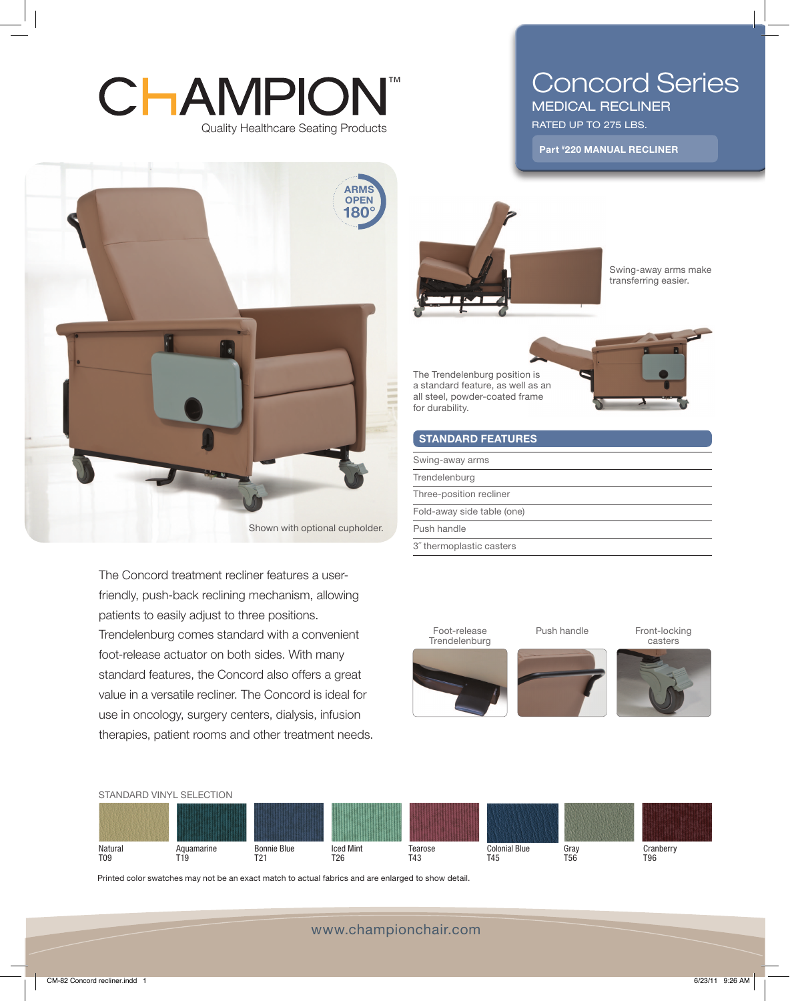## Quality Healthcare Seating Products **CHAMPION®**

# Concord Series

MEDICAL RECLINER RATED UP TO 275 LBS.

Part #220 MANUAL RECLINER



The Concord treatment recliner features a userfriendly, push-back reclining mechanism, allowing patients to easily adjust to three positions. Trendelenburg comes standard with a convenient foot-release actuator on both sides. With many standard features, the Concord also offers a great value in a versatile recliner. The Concord is ideal for use in oncology, surgery centers, dialysis, infusion therapies, patient rooms and other treatment needs.



Swing-away arms make transferring easier.

The Trendelenburg position is a standard feature, as well as an all steel, powder-coated frame for durability.



| <b>STANDARD FEATURES</b>   |  |
|----------------------------|--|
| Swing-away arms            |  |
| Trendelenburg              |  |
| Three-position recliner    |  |
| Fold-away side table (one) |  |
| Push handle                |  |
| 3" thermoplastic casters   |  |





Printed color swatches may not be an exact match to actual fabrics and are enlarged to show detail.

www.championchair.com